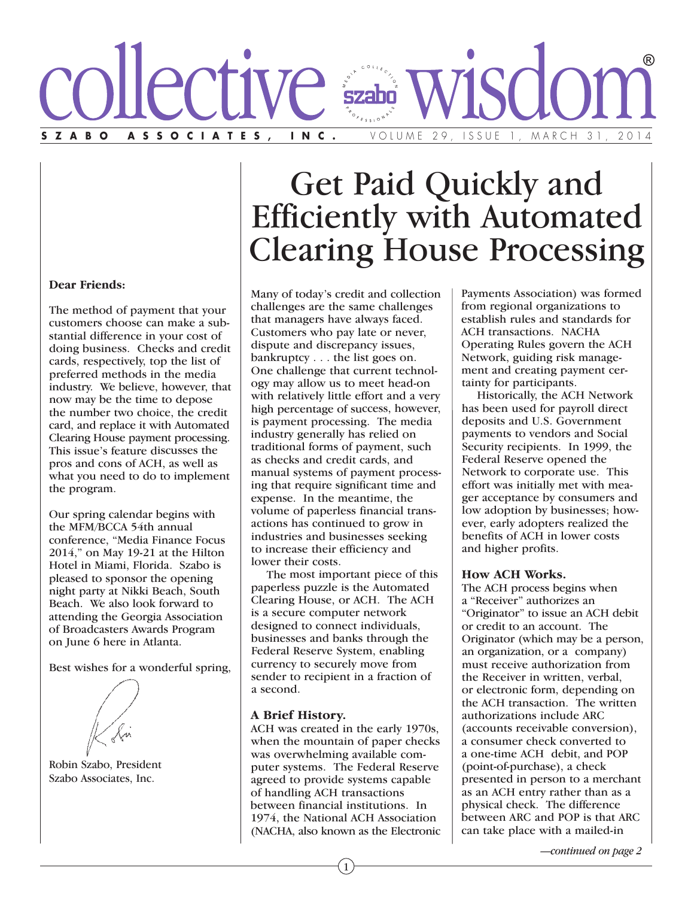

### **Dear Friends:**

The method of payment that your customers choose can make a substantial difference in your cost of doing business. Checks and credit cards, respectively, top the list of preferred methods in the media industry. We believe, however, that now may be the time to depose the number two choice, the credit card, and replace it with Automated Clearing House payment processing. This issue's feature discusses the pros and cons of ACH, as well as what you need to do to implement the program.

Our spring calendar begins with the MFM/BCCA 54th annual conference, "Media Finance Focus 2014," on May 19-21 at the Hilton Hotel in Miami, Florida. Szabo is pleased to sponsor the opening night party at Nikki Beach, South Beach. We also look forward to attending the Georgia Association of Broadcasters Awards Program on June 6 here in Atlanta.

Best wishes for a wonderful spring,

Robin Szabo, President Szabo Associates, Inc.

# Get Paid Quickly and Efficiently with Automated Clearing House Processing

Many of today's credit and collection challenges are the same challenges that managers have always faced. Customers who pay late or never, dispute and discrepancy issues, bankruptcy . . . the list goes on. One challenge that current technology may allow us to meet head-on with relatively little effort and a very high percentage of success, however, is payment processing. The media industry generally has relied on traditional forms of payment, such as checks and credit cards, and manual systems of payment processing that require significant time and expense. In the meantime, the volume of paperless financial transactions has continued to grow in industries and businesses seeking to increase their efficiency and lower their costs.

The most important piece of this paperless puzzle is the Automated Clearing House, or ACH. The ACH is a secure computer network designed to connect individuals, businesses and banks through the Federal Reserve System, enabling currency to securely move from sender to recipient in a fraction of a second.

### **A Brief History.**

ACH was created in the early 1970s, when the mountain of paper checks was overwhelming available computer systems. The Federal Reserve agreed to provide systems capable of handling ACH transactions between financial institutions. In 1974, the National ACH Association (NACHA, also known as the Electronic

1

Payments Association) was formed from regional organizations to establish rules and standards for ACH transactions. NACHA Operating Rules govern the ACH Network, guiding risk management and creating payment certainty for participants.

Historically, the ACH Network has been used for payroll direct deposits and U.S. Government payments to vendors and Social Security recipients. In 1999, the Federal Reserve opened the Network to corporate use. This effort was initially met with meager acceptance by consumers and low adoption by businesses; however, early adopters realized the benefits of ACH in lower costs and higher profits.

#### **How ACH Works.**

The ACH process begins when a "Receiver" authorizes an "Originator" to issue an ACH debit or credit to an account. The Originator (which may be a person, an organization, or a company) must receive authorization from the Receiver in written, verbal, or electronic form, depending on the ACH transaction. The written authorizations include ARC (accounts receivable conversion), a consumer check converted to a one-time ACH debit, and POP (point-of-purchase), a check presented in person to a merchant as an ACH entry rather than as a physical check. The difference between ARC and POP is that ARC can take place with a mailed-in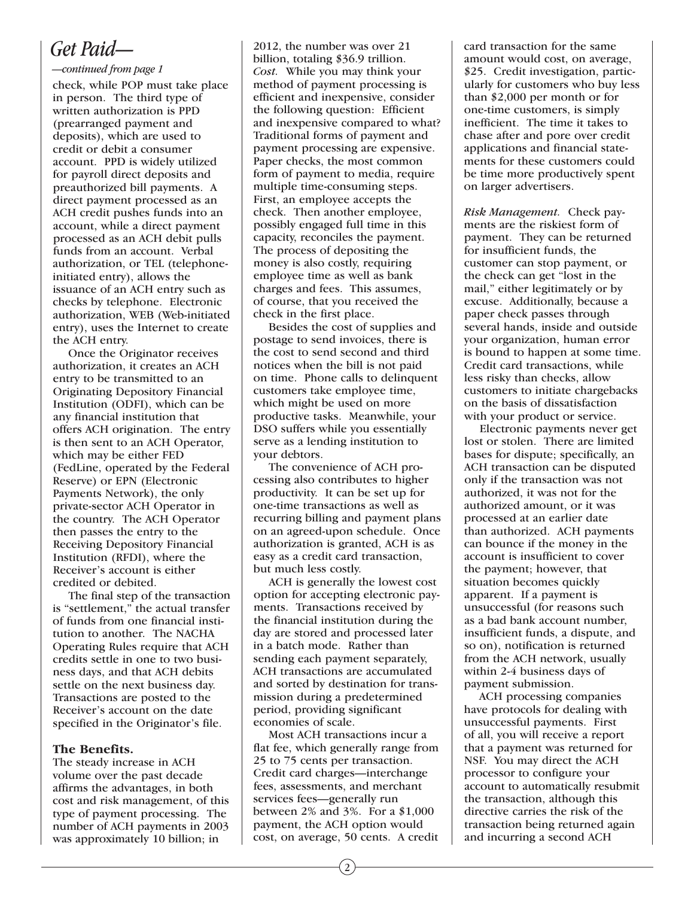### *Get Paid—*

### *—continued from page 1*

check, while POP must take place in person. The third type of written authorization is PPD (prearranged payment and deposits), which are used to credit or debit a consumer account. PPD is widely utilized for payroll direct deposits and preauthorized bill payments. A direct payment processed as an ACH credit pushes funds into an account, while a direct payment processed as an ACH debit pulls funds from an account. Verbal authorization, or TEL (telephoneinitiated entry), allows the issuance of an ACH entry such as checks by telephone. Electronic authorization, WEB (Web-initiated entry), uses the Internet to create the ACH entry.

Once the Originator receives authorization, it creates an ACH entry to be transmitted to an Originating Depository Financial Institution (ODFI), which can be any financial institution that offers ACH origination. The entry is then sent to an ACH Operator, which may be either FED (FedLine, operated by the Federal Reserve) or EPN (Electronic Payments Network), the only private-sector ACH Operator in the country. The ACH Operator then passes the entry to the Receiving Depository Financial Institution (RFDI), where the Receiver's account is either credited or debited.

The final step of the transaction is "settlement," the actual transfer of funds from one financial institution to another. The NACHA Operating Rules require that ACH credits settle in one to two business days, and that ACH debits settle on the next business day. Transactions are posted to the Receiver's account on the date specified in the Originator's file.

### **The Benefits.**

The steady increase in ACH volume over the past decade affirms the advantages, in both cost and risk management, of this type of payment processing. The number of ACH payments in 2003 was approximately 10 billion; in

2012, the number was over 21 billion, totaling \$36.9 trillion. *Cost.* While you may think your method of payment processing is efficient and inexpensive, consider the following question: Efficient and inexpensive compared to what? Traditional forms of payment and payment processing are expensive. Paper checks, the most common form of payment to media, require multiple time-consuming steps. First, an employee accepts the check. Then another employee, possibly engaged full time in this capacity, reconciles the payment. The process of depositing the money is also costly, requiring employee time as well as bank charges and fees. This assumes, of course, that you received the check in the first place.

Besides the cost of supplies and postage to send invoices, there is the cost to send second and third notices when the bill is not paid on time. Phone calls to delinquent customers take employee time, which might be used on more productive tasks. Meanwhile, your DSO suffers while you essentially serve as a lending institution to your debtors.

The convenience of ACH processing also contributes to higher productivity. It can be set up for one-time transactions as well as recurring billing and payment plans on an agreed-upon schedule. Once authorization is granted, ACH is as easy as a credit card transaction, but much less costly.

ACH is generally the lowest cost option for accepting electronic payments. Transactions received by the financial institution during the day are stored and processed later in a batch mode. Rather than sending each payment separately, ACH transactions are accumulated and sorted by destination for transmission during a predetermined period, providing significant economies of scale.

Most ACH transactions incur a flat fee, which generally range from 25 to 75 cents per transaction. Credit card charges—interchange fees, assessments, and merchant services fees—generally run between 2% and 3%. For a \$1,000 payment, the ACH option would cost, on average, 50 cents. A credit

card transaction for the same amount would cost, on average, \$25. Credit investigation, particularly for customers who buy less than \$2,000 per month or for one-time customers, is simply inefficient. The time it takes to chase after and pore over credit applications and financial statements for these customers could be time more productively spent on larger advertisers.

*Risk Management.* Check payments are the riskiest form of payment. They can be returned for insufficient funds, the customer can stop payment, or the check can get "lost in the mail," either legitimately or by excuse. Additionally, because a paper check passes through several hands, inside and outside your organization, human error is bound to happen at some time. Credit card transactions, while less risky than checks, allow customers to initiate chargebacks on the basis of dissatisfaction with your product or service.

Electronic payments never get lost or stolen. There are limited bases for dispute; specifically, an ACH transaction can be disputed only if the transaction was not authorized, it was not for the authorized amount, or it was processed at an earlier date than authorized. ACH payments can bounce if the money in the account is insufficient to cover the payment; however, that situation becomes quickly apparent. If a payment is unsuccessful (for reasons such as a bad bank account number, insufficient funds, a dispute, and so on), notification is returned from the ACH network, usually within 2-4 business days of payment submission.

ACH processing companies have protocols for dealing with unsuccessful payments. First of all, you will receive a report that a payment was returned for NSF. You may direct the ACH processor to configure your account to automatically resubmit the transaction, although this directive carries the risk of the transaction being returned again and incurring a second ACH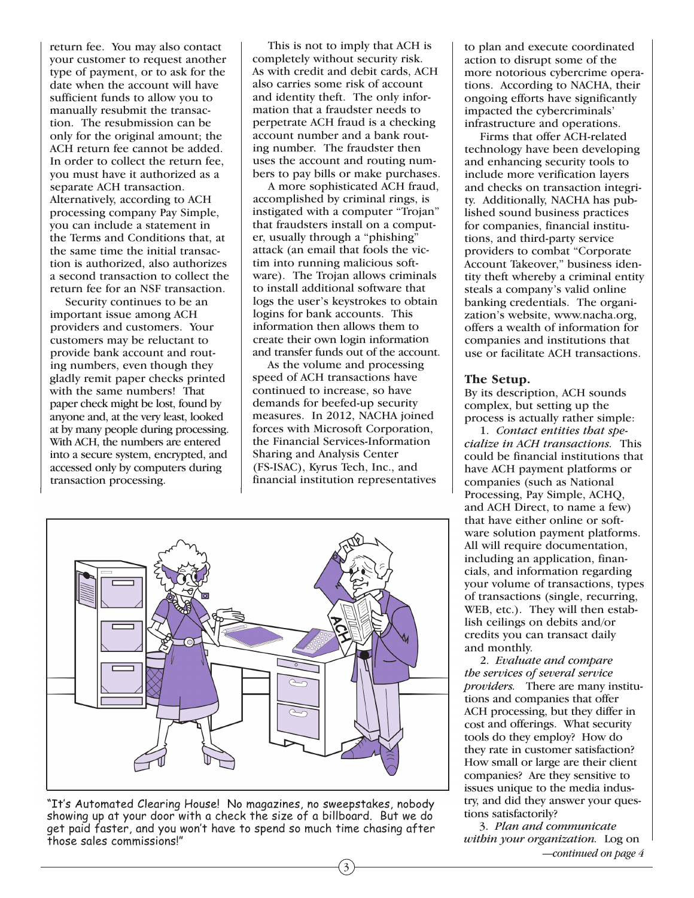return fee. You may also contact your customer to request another type of payment, or to ask for the date when the account will have sufficient funds to allow you to manually resubmit the transaction. The resubmission can be only for the original amount; the ACH return fee cannot be added. In order to collect the return fee, you must have it authorized as a separate ACH transaction. Alternatively, according to ACH processing company Pay Simple, you can include a statement in the Terms and Conditions that, at the same time the initial transaction is authorized, also authorizes a second transaction to collect the return fee for an NSF transaction.

Security continues to be an important issue among ACH providers and customers. Your customers may be reluctant to provide bank account and routing numbers, even though they gladly remit paper checks printed with the same numbers! That paper check might be lost, found by anyone and, at the very least, looked at by many people during processing. With ACH, the numbers are entered into a secure system, encrypted, and accessed only by computers during transaction processing.

This is not to imply that ACH is completely without security risk. As with credit and debit cards, ACH also carries some risk of account and identity theft. The only information that a fraudster needs to perpetrate ACH fraud is a checking account number and a bank routing number. The fraudster then uses the account and routing numbers to pay bills or make purchases.

A more sophisticated ACH fraud, accomplished by criminal rings, is instigated with a computer "Trojan" that fraudsters install on a computer, usually through a "phishing" attack (an email that fools the victim into running malicious software). The Trojan allows criminals to install additional software that logs the user's keystrokes to obtain logins for bank accounts. This information then allows them to create their own login information and transfer funds out of the account.

As the volume and processing speed of ACH transactions have continued to increase, so have demands for beefed-up security measures. In 2012, NACHA joined forces with Microsoft Corporation, the Financial Services-Information Sharing and Analysis Center (FS-ISAC), Kyrus Tech, Inc., and financial institution representatives



"It's Automated Clearing House! No magazines, no sweepstakes, nobody showing up at your door with a check the size of a billboard. But we do get paid faster, and you won't have to spend so much time chasing after those sales commissions!"

to plan and execute coordinated action to disrupt some of the more notorious cybercrime operations. According to NACHA, their ongoing efforts have significantly impacted the cybercriminals' infrastructure and operations.

Firms that offer ACH-related technology have been developing and enhancing security tools to include more verification layers and checks on transaction integrity. Additionally, NACHA has published sound business practices for companies, financial institutions, and third-party service providers to combat "Corporate Account Takeover," business identity theft whereby a criminal entity steals a company's valid online banking credentials. The organization's website, www.nacha.org, offers a wealth of information for companies and institutions that use or facilitate ACH transactions.

### **The Setup.**

By its description, ACH sounds complex, but setting up the process is actually rather simple:

1. *Contact entities that specialize in ACH transactions.* This could be financial institutions that have ACH payment platforms or companies (such as National Processing, Pay Simple, ACHQ, and ACH Direct, to name a few) that have either online or software solution payment platforms. All will require documentation, including an application, financials, and information regarding your volume of transactions, types of transactions (single, recurring, WEB, etc.). They will then establish ceilings on debits and/or credits you can transact daily and monthly.

2. *Evaluate and compare the services of several service providers.* There are many institutions and companies that offer ACH processing, but they differ in cost and offerings. What security tools do they employ? How do they rate in customer satisfaction? How small or large are their client companies? Are they sensitive to issues unique to the media industry, and did they answer your questions satisfactorily?

3. *Plan and communicate within your organization.* Log on *—continued on page 4*